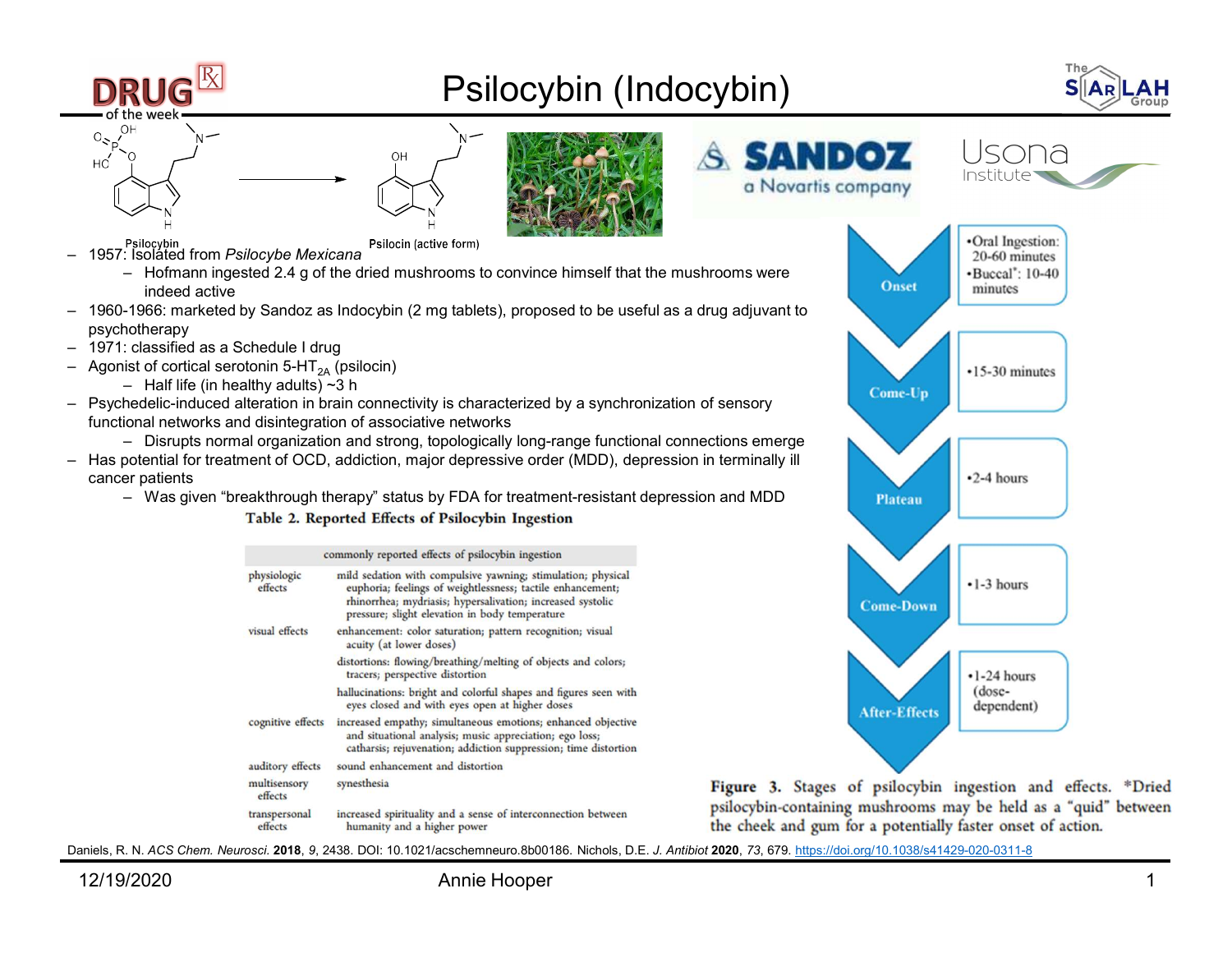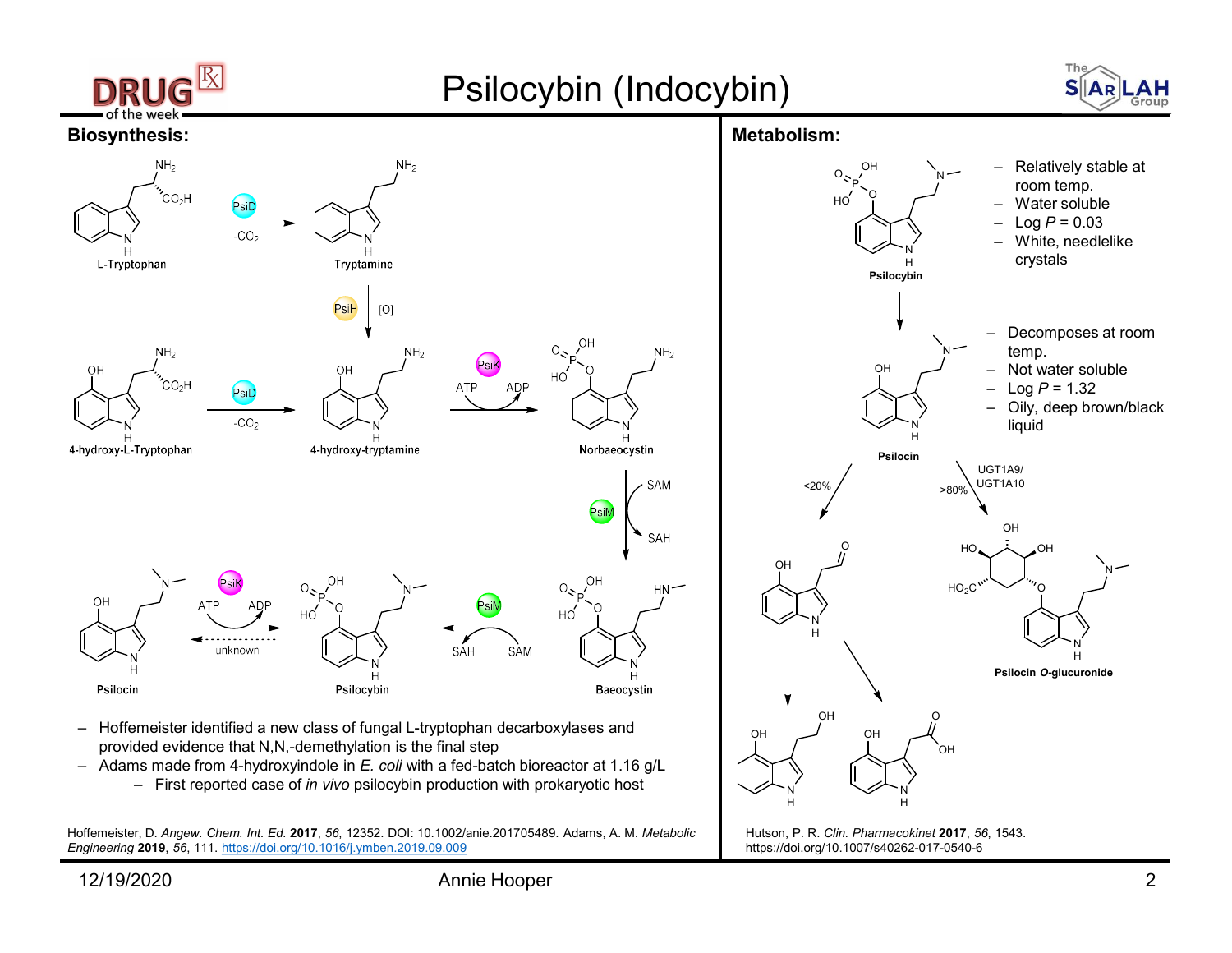

Hoffemeister, D. Angew. Chem. Int. Ed. 2017, 56, 12352. DOI: 10.1002/anie.201705489. Adams, A. M. Metabolic Engineering 2019, 56, 111. https://doi.org/10.1016/j.ymben.2019.09.009

https://doi.org/10.1007/s40262-017-0540-6